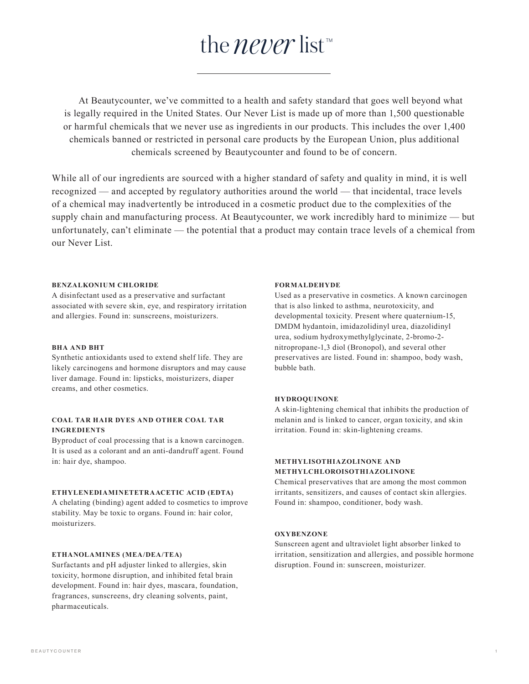# the *never* list TM

 At Beautycounter, we've committed to a health and safety standard that goes well beyond what is legally required in the United States. Our Never List is made up of more than 1,500 questionable or harmful chemicals that we never use as ingredients in our products. This includes the over 1,400 chemicals banned or restricted in personal care products by the European Union, plus additional chemicals screened by Beautycounter and found to be of concern.

While all of our ingredients are sourced with a higher standard of safety and quality in mind, it is well recognized — and accepted by regulatory authorities around the world — that incidental, trace levels of a chemical may inadvertently be introduced in a cosmetic product due to the complexities of the supply chain and manufacturing process. At Beautycounter, we work incredibly hard to minimize — but unfortunately, can't eliminate — the potential that a product may contain trace levels of a chemical from our Never List.

#### **BENZALKONIUM CHLORIDE**

A disinfectant used as a preservative and surfactant associated with severe skin, eye, and respiratory irritation and allergies. Found in: sunscreens, moisturizers.

## **BHA AND BHT**

Synthetic antioxidants used to extend shelf life. They are likely carcinogens and hormone disruptors and may cause liver damage. Found in: lipsticks, moisturizers, diaper creams, and other cosmetics.

## **COAL TAR HAIR DYES AND OTHER COAL TAR INGREDIENTS**

Byproduct of coal processing that is a known carcinogen. It is used as a colorant and an anti-dandruff agent. Found in: hair dye, shampoo.

## **ETHYLENEDIAMINETETRAACETIC ACID (EDTA)**

A chelating (binding) agent added to cosmetics to improve stability. May be toxic to organs. Found in: hair color, moisturizers.

#### **ETHANOLAMINES (MEA/DEA/TEA)**

Surfactants and pH adjuster linked to allergies, skin toxicity, hormone disruption, and inhibited fetal brain development. Found in: hair dyes, mascara, foundation, fragrances, sunscreens, dry cleaning solvents, paint, pharmaceuticals.

## **FORMALDEHYDE**

Used as a preservative in cosmetics. A known carcinogen that is also linked to asthma, neurotoxicity, and developmental toxicity. Present where quaternium-15, DMDM hydantoin, imidazolidinyl urea, diazolidinyl urea, sodium hydroxymethylglycinate, 2-bromo-2 nitropropane-1,3 diol (Bronopol), and several other preservatives are listed. Found in: shampoo, body wash, bubble bath.

## **HYDROQUINONE**

A skin-lightening chemical that inhibits the production of melanin and is linked to cancer, organ toxicity, and skin irritation. Found in: skin-lightening creams.

## **METHYLISOTHIAZOLINONE AND METHYLCHLOROISOTHIAZOLINONE**

Chemical preservatives that are among the most common irritants, sensitizers, and causes of contact skin allergies. Found in: shampoo, conditioner, body wash.

#### **OXYBENZONE**

Sunscreen agent and ultraviolet light absorber linked to irritation, sensitization and allergies, and possible hormone disruption. Found in: sunscreen, moisturizer.